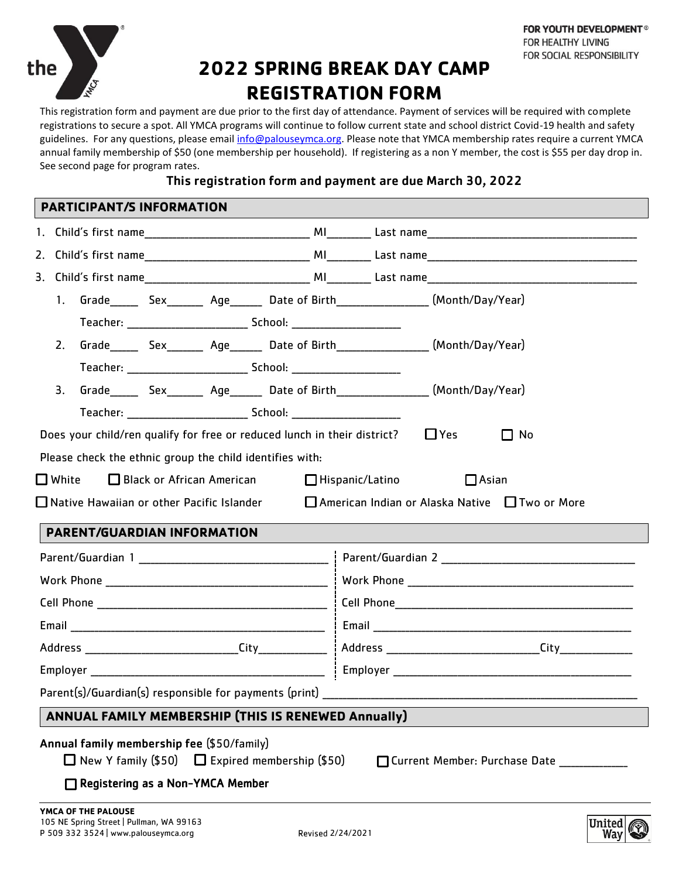

# **2022 SPRING BREAK DAY CAMP REGISTRATION FORM**

This registration form and payment are due prior to the first day of attendance. Payment of services will be required with complete registrations to secure a spot. All YMCA programs will continue to follow current state and school district Covid-19 health and safety guidelines. For any questions, please email [info@palouseymca.org.](mailto:info@palouseymca.org) Please note that YMCA membership rates require a current YMCA annual family membership of \$50 (one membership per household). If registering as a non Y member, the cost is \$55 per day drop in. See second page for program rates.

## This registration form and payment are due March 30, 2022

|                 | 1. |                             |  |  |                                                          |                                                                                     |                                                                                                             |  |  |
|-----------------|----|-----------------------------|--|--|----------------------------------------------------------|-------------------------------------------------------------------------------------|-------------------------------------------------------------------------------------------------------------|--|--|
|                 |    |                             |  |  |                                                          |                                                                                     |                                                                                                             |  |  |
|                 | 2. |                             |  |  |                                                          |                                                                                     |                                                                                                             |  |  |
|                 |    |                             |  |  |                                                          |                                                                                     |                                                                                                             |  |  |
| 3.              |    |                             |  |  |                                                          |                                                                                     |                                                                                                             |  |  |
|                 |    |                             |  |  |                                                          |                                                                                     |                                                                                                             |  |  |
|                 |    |                             |  |  |                                                          | Does your child/ren qualify for free or reduced lunch in their district? $\Box$ Yes | $\Box$ No                                                                                                   |  |  |
|                 |    |                             |  |  | Please check the ethnic group the child identifies with: |                                                                                     |                                                                                                             |  |  |
| $\square$ White |    |                             |  |  | $\Box$ Black or African American                         | $\Box$ Hispanic/Latino                                                              | $\Box$ Asian                                                                                                |  |  |
|                 |    |                             |  |  |                                                          |                                                                                     | $\Box$ Native Hawaiian or other Pacific Islander $\Box$ American Indian or Alaska Native $\Box$ Two or More |  |  |
|                 |    |                             |  |  |                                                          |                                                                                     |                                                                                                             |  |  |
|                 |    | PARENT/GUARDIAN INFORMATION |  |  |                                                          |                                                                                     |                                                                                                             |  |  |
|                 |    |                             |  |  |                                                          |                                                                                     |                                                                                                             |  |  |
|                 |    |                             |  |  |                                                          |                                                                                     |                                                                                                             |  |  |
|                 |    |                             |  |  |                                                          |                                                                                     |                                                                                                             |  |  |
|                 |    |                             |  |  |                                                          |                                                                                     |                                                                                                             |  |  |
|                 |    |                             |  |  |                                                          |                                                                                     |                                                                                                             |  |  |
|                 |    |                             |  |  |                                                          |                                                                                     |                                                                                                             |  |  |
|                 |    |                             |  |  |                                                          |                                                                                     |                                                                                                             |  |  |
|                 |    |                             |  |  | Parent(s)/Guardian(s) responsible for payments (print)   |                                                                                     |                                                                                                             |  |  |
|                 |    |                             |  |  | ANNUAL FAMILY MEMBERSHIP (THIS IS RENEWED Annually)      |                                                                                     |                                                                                                             |  |  |

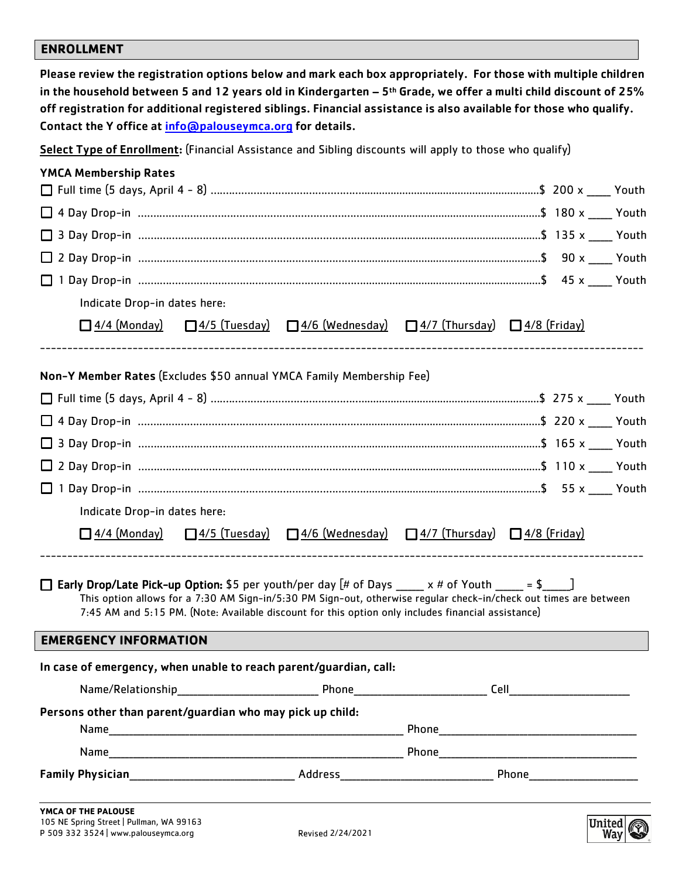## **ENROLLMENT**

| off registration for additional registered siblings. Financial assistance is also available for those who qualify.<br>Contact the Y office at info@palouseymca.org for details. |                                                                                                    | Please review the registration options below and mark each box appropriately. For those with multiple children<br>in the household between 5 and 12 years old in Kindergarten $-5$ <sup>th</sup> Grade, we offer a multi child discount of 25% |
|---------------------------------------------------------------------------------------------------------------------------------------------------------------------------------|----------------------------------------------------------------------------------------------------|------------------------------------------------------------------------------------------------------------------------------------------------------------------------------------------------------------------------------------------------|
| Select Type of Enrollment: (Financial Assistance and Sibling discounts will apply to those who qualify)                                                                         |                                                                                                    |                                                                                                                                                                                                                                                |
| <b>YMCA Membership Rates</b>                                                                                                                                                    |                                                                                                    |                                                                                                                                                                                                                                                |
|                                                                                                                                                                                 |                                                                                                    |                                                                                                                                                                                                                                                |
|                                                                                                                                                                                 |                                                                                                    |                                                                                                                                                                                                                                                |
|                                                                                                                                                                                 |                                                                                                    |                                                                                                                                                                                                                                                |
|                                                                                                                                                                                 |                                                                                                    |                                                                                                                                                                                                                                                |
|                                                                                                                                                                                 |                                                                                                    |                                                                                                                                                                                                                                                |
| Indicate Drop-in dates here:                                                                                                                                                    |                                                                                                    |                                                                                                                                                                                                                                                |
| $\Box$ 4/4 (Monday)                                                                                                                                                             | $\Box$ 4/5 (Tuesday) $\Box$ 4/6 (Wednesday) $\Box$ 4/7 (Thursday) $\Box$ 4/8 (Friday)              |                                                                                                                                                                                                                                                |
|                                                                                                                                                                                 |                                                                                                    |                                                                                                                                                                                                                                                |
| Non-Y Member Rates (Excludes \$50 annual YMCA Family Membership Fee)                                                                                                            |                                                                                                    |                                                                                                                                                                                                                                                |
|                                                                                                                                                                                 |                                                                                                    |                                                                                                                                                                                                                                                |
|                                                                                                                                                                                 |                                                                                                    |                                                                                                                                                                                                                                                |
|                                                                                                                                                                                 |                                                                                                    |                                                                                                                                                                                                                                                |
|                                                                                                                                                                                 |                                                                                                    |                                                                                                                                                                                                                                                |
|                                                                                                                                                                                 |                                                                                                    |                                                                                                                                                                                                                                                |
| Indicate Drop-in dates here:                                                                                                                                                    |                                                                                                    |                                                                                                                                                                                                                                                |
| □ 4/4 (Monday)                                                                                                                                                                  | $\Box$ 4/5 (Tuesday) $\Box$ 4/6 (Wednesday) $\Box$ 4/7 (Thursday) $\Box$ 4/8 (Friday)              |                                                                                                                                                                                                                                                |
| <b>The Early Drop/Late Pick-up Option:</b> \$5 per youth/per day $[# \text{ of Days} \qquad x # \text{ of Youth} \qquad = $ ]$                                                  | 7:45 AM and 5:15 PM. (Note: Available discount for this option only includes financial assistance) | This option allows for a 7:30 AM Sign-in/5:30 PM Sign-out, otherwise regular check-in/check out times are between                                                                                                                              |
| <b>EMERGENCY INFORMATION</b>                                                                                                                                                    |                                                                                                    |                                                                                                                                                                                                                                                |
| In case of emergency, when unable to reach parent/guardian, call:                                                                                                               |                                                                                                    |                                                                                                                                                                                                                                                |
|                                                                                                                                                                                 |                                                                                                    |                                                                                                                                                                                                                                                |
| Persons other than parent/guardian who may pick up child:                                                                                                                       |                                                                                                    |                                                                                                                                                                                                                                                |
|                                                                                                                                                                                 |                                                                                                    |                                                                                                                                                                                                                                                |
|                                                                                                                                                                                 |                                                                                                    |                                                                                                                                                                                                                                                |
|                                                                                                                                                                                 |                                                                                                    |                                                                                                                                                                                                                                                |
|                                                                                                                                                                                 |                                                                                                    |                                                                                                                                                                                                                                                |

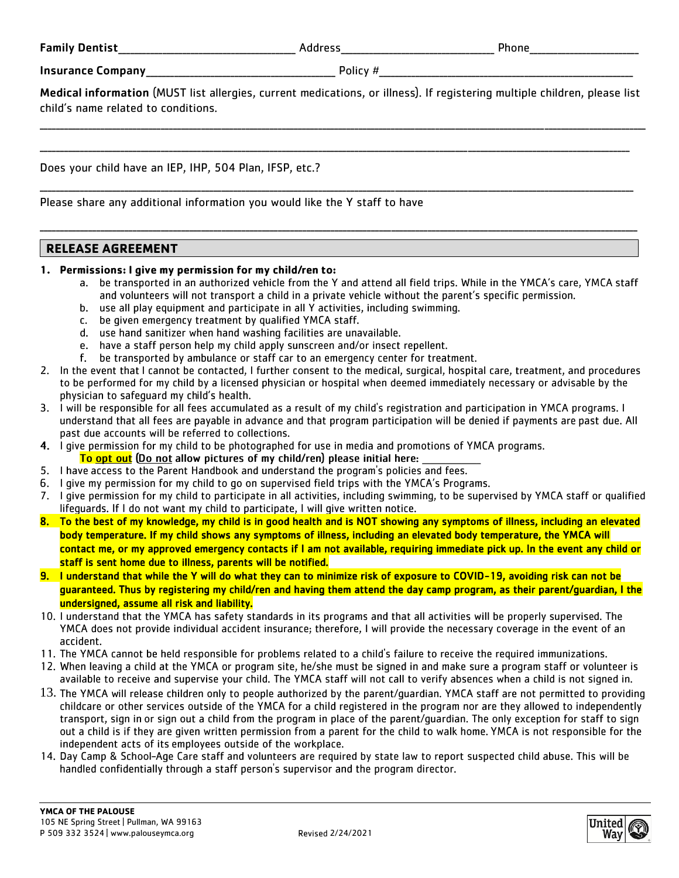Family Dentist **Example 2** and the set of the Address of the Second Phone of the Second 2 and 2 and 2 and 2 and 2 and 2 and 2 and 2 and 2 and 2 and 2 and 2 and 2 and 2 and 2 and 2 and 2 and 2 and 2 and 2 and 2 and 2 and 2

Insurance Company\_\_\_\_\_\_\_\_\_\_\_\_\_\_\_\_\_\_\_\_\_\_\_\_\_\_\_\_\_\_\_\_\_\_\_\_\_\_\_\_\_\_\_\_\_\_\_ Policy #\_\_\_\_\_\_\_\_\_\_\_\_\_\_\_\_\_\_\_\_\_\_\_\_\_\_\_\_\_\_\_\_\_\_\_\_\_\_\_\_\_\_\_\_\_\_\_\_\_\_\_\_\_\_\_\_\_\_\_\_\_\_\_

Medical information (MUST list allergies, current medications, or illness). If registering multiple children, please list child's name related to conditions.

\_\_\_\_\_\_\_\_\_\_\_\_\_\_\_\_\_\_\_\_\_\_\_\_\_\_\_\_\_\_\_\_\_\_\_\_\_\_\_\_\_\_\_\_\_\_\_\_\_\_\_\_\_\_\_\_\_\_\_\_\_\_\_\_\_\_\_\_\_\_\_\_\_\_\_\_\_\_\_\_\_\_\_\_\_\_\_\_\_\_\_\_\_\_\_\_\_\_\_\_\_\_\_\_\_\_\_\_\_\_\_\_\_\_\_\_\_\_\_\_\_\_\_\_\_\_\_\_\_\_\_\_\_\_\_\_\_\_\_\_\_\_\_\_\_\_\_\_\_\_

\_\_\_\_\_\_\_\_\_\_\_\_\_\_\_\_\_\_\_\_\_\_\_\_\_\_\_\_\_\_\_\_\_\_\_\_\_\_\_\_\_\_\_\_\_\_\_\_\_\_\_\_\_\_\_\_\_\_\_\_\_\_\_\_\_\_\_\_\_\_\_\_\_\_\_\_\_\_\_\_\_\_\_\_\_\_\_\_\_\_\_\_\_\_\_\_\_\_\_\_\_\_\_\_\_\_\_\_\_\_\_\_\_\_\_\_\_\_\_\_\_\_\_\_\_\_\_\_\_\_\_\_\_\_\_\_\_\_\_\_\_\_\_\_\_\_

\_\_\_\_\_\_\_\_\_\_\_\_\_\_\_\_\_\_\_\_\_\_\_\_\_\_\_\_\_\_\_\_\_\_\_\_\_\_\_\_\_\_\_\_\_\_\_\_\_\_\_\_\_\_\_\_\_\_\_\_\_\_\_\_\_\_\_\_\_\_\_\_\_\_\_\_\_\_\_\_\_\_\_\_\_\_\_\_\_\_\_\_\_\_\_\_\_\_\_\_\_\_\_\_\_\_\_\_\_\_\_\_\_\_\_\_\_\_\_\_\_\_\_\_\_\_\_\_\_\_\_\_\_\_\_\_\_\_\_\_\_\_\_\_\_\_\_

\_\_\_\_\_\_\_\_\_\_\_\_\_\_\_\_\_\_\_\_\_\_\_\_\_\_\_\_\_\_\_\_\_\_\_\_\_\_\_\_\_\_\_\_\_\_\_\_\_\_\_\_\_\_\_\_\_\_\_\_\_\_\_\_\_\_\_\_\_\_\_\_\_\_\_\_\_\_\_\_\_\_\_\_\_\_\_\_\_\_\_\_\_\_\_\_\_\_\_\_\_\_\_\_\_\_\_\_\_\_\_\_\_\_\_\_\_\_\_\_\_\_\_\_\_\_\_\_\_\_\_\_\_\_\_\_\_\_\_\_\_\_\_\_\_\_\_\_

Does your child have an IEP, IHP, 504 Plan, IFSP, etc.?

Please share any additional information you would like the Y staff to have

#### **RELEASE AGREEMENT**

#### 1. Permissions: I give my permission for my child/ren to:

- a. be transported in an authorized vehicle from the Y and attend all field trips. While in the YMCA's care, YMCA staff and volunteers will not transport a child in a private vehicle without the parent's specific permission.
- b. use all play equipment and participate in all Y activities, including swimming.
- c. be given emergency treatment by qualified YMCA staff.
- d. use hand sanitizer when hand washing facilities are unavailable.
- e. have a staff person help my child apply sunscreen and/or insect repellent.
- f. be transported by ambulance or staff car to an emergency center for treatment.
- 2. In the event that I cannot be contacted, I further consent to the medical, surgical, hospital care, treatment, and procedures to be performed for my child by a licensed physician or hospital when deemed immediately necessary or advisable by the physician to safeguard my child's health.
- 3. I will be responsible for all fees accumulated as a result of my child's registration and participation in YMCA programs. I understand that all fees are payable in advance and that program participation will be denied if payments are past due. All past due accounts will be referred to collections.
- 4. I give permission for my child to be photographed for use in media and promotions of YMCA programs. To opt out (Do not allow pictures of my child/ren) please initial here:
- 5. I have access to the Parent Handbook and understand the program's policies and fees.
- 6. I give my permission for my child to go on supervised field trips with the YMCA's Programs.
- 7. I give permission for my child to participate in all activities, including swimming, to be supervised by YMCA staff or qualified lifequards. If I do not want my child to participate, I will give written notice.
- 8. To the best of my knowledge, my child is in good health and is NOT showing any symptoms of illness, including an elevated body temperature. If my child shows any symptoms of illness, including an elevated body temperature, the YMCA will contact me, or my approved emergency contacts if I am not available, requiring immediate pick up. In the event any child or staff is sent home due to illness, parents will be notified.
- 9. I understand that while the Y will do what they can to minimize risk of exposure to COVID-19, avoiding risk can not be guaranteed. Thus by registering my child/ren and having them attend the day camp program, as their parent/guardian, I the undersigned, assume all risk and liability.
- 10. I understand that the YMCA has safety standards in its programs and that all activities will be properly supervised. The YMCA does not provide individual accident insurance; therefore, I will provide the necessary coverage in the event of an accident.
- 11. The YMCA cannot be held responsible for problems related to a child's failure to receive the required immunizations.
- 12. When leaving a child at the YMCA or program site, he/she must be signed in and make sure a program staff or volunteer is available to receive and supervise your child. The YMCA staff will not call to verify absences when a child is not signed in.
- $13$ . The YMCA will release children only to people authorized by the parent/quardian. YMCA staff are not permitted to providing childcare or other services outside of the YMCA for a child registered in the program nor are they allowed to independently transport, sign in or sign out a child from the program in place of the parent/quardian. The only exception for staff to sign out a child is if they are given written permission from a parent for the child to walk home. YMCA is not responsible for the independent acts of its employees outside of the workplace.
- 14. Day Camp & School-Age Care staff and volunteers are required by state law to report suspected child abuse. This will be handled confidentially through a staff person's supervisor and the program director.